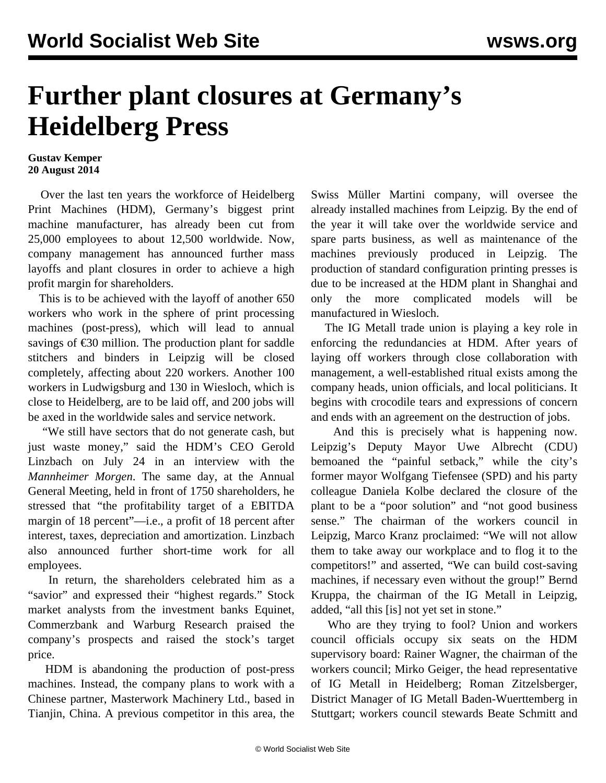## **Further plant closures at Germany's Heidelberg Press**

## **Gustav Kemper 20 August 2014**

 Over the last ten years the workforce of Heidelberg Print Machines (HDM), Germany's biggest print machine manufacturer, has already been cut from 25,000 employees to about 12,500 worldwide. Now, company management has announced further mass layoffs and plant closures in order to achieve a high profit margin for shareholders.

 This is to be achieved with the layoff of another 650 workers who work in the sphere of print processing machines (post-press), which will lead to annual savings of  $\epsilon$ 30 million. The production plant for saddle stitchers and binders in Leipzig will be closed completely, affecting about 220 workers. Another 100 workers in Ludwigsburg and 130 in Wiesloch, which is close to Heidelberg, are to be laid off, and 200 jobs will be axed in the worldwide sales and service network.

 "We still have sectors that do not generate cash, but just waste money," said the HDM's CEO Gerold Linzbach on July 24 in an interview with the *Mannheimer Morgen*. The same day, at the Annual General Meeting, held in front of 1750 shareholders, he stressed that "the profitability target of a EBITDA margin of 18 percent"—i.e., a profit of 18 percent after interest, taxes, depreciation and amortization. Linzbach also announced further short-time work for all employees.

 In return, the shareholders celebrated him as a "savior" and expressed their "highest regards." Stock market analysts from the investment banks Equinet, Commerzbank and Warburg Research praised the company's prospects and raised the stock's target price.

 HDM is abandoning the production of post-press machines. Instead, the company plans to work with a Chinese partner, Masterwork Machinery Ltd., based in Tianjin, China. A previous competitor in this area, the Swiss Müller Martini company, will oversee the already installed machines from Leipzig. By the end of the year it will take over the worldwide service and spare parts business, as well as maintenance of the machines previously produced in Leipzig. The production of standard configuration printing presses is due to be increased at the HDM plant in Shanghai and only the more complicated models will be manufactured in Wiesloch.

 The IG Metall trade union is playing a key role in enforcing the redundancies at HDM. After years of laying off workers through close collaboration with management, a well-established ritual exists among the company heads, union officials, and local politicians. It begins with crocodile tears and expressions of concern and ends with an agreement on the destruction of jobs.

 And this is precisely what is happening now. Leipzig's Deputy Mayor Uwe Albrecht (CDU) bemoaned the "painful setback," while the city's former mayor Wolfgang Tiefensee (SPD) and his party colleague Daniela Kolbe declared the closure of the plant to be a "poor solution" and "not good business sense." The chairman of the workers council in Leipzig, Marco Kranz proclaimed: "We will not allow them to take away our workplace and to flog it to the competitors!" and asserted, "We can build cost-saving machines, if necessary even without the group!" Bernd Kruppa, the chairman of the IG Metall in Leipzig, added, "all this [is] not yet set in stone."

 Who are they trying to fool? Union and workers council officials occupy six seats on the HDM supervisory board: Rainer Wagner, the chairman of the workers council; Mirko Geiger, the head representative of IG Metall in Heidelberg; Roman Zitzelsberger, District Manager of IG Metall Baden-Wuerttemberg in Stuttgart; workers council stewards Beate Schmitt and